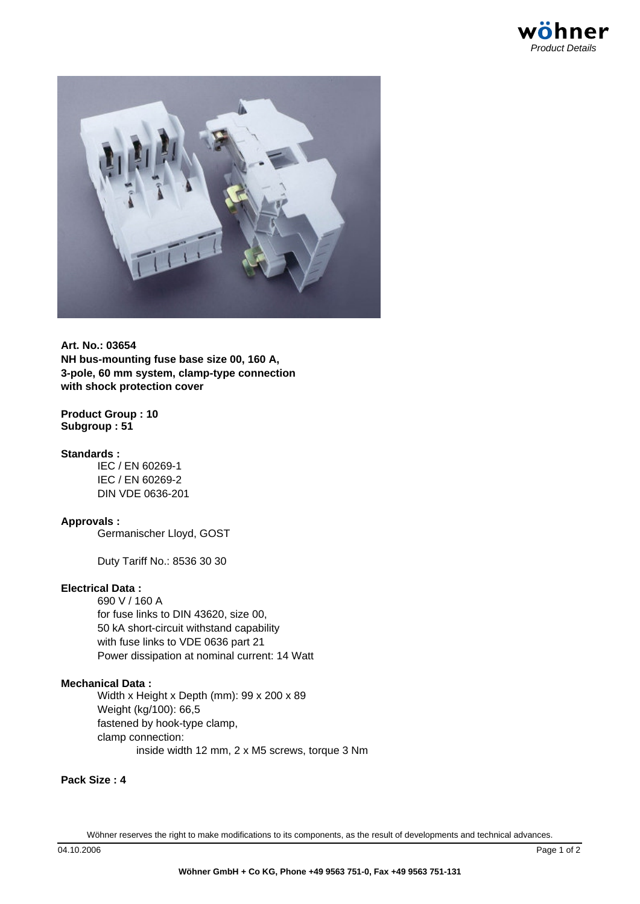

**Art. No.: 03654 NH bus-mounting fuse base size 00, 160 A, 3-pole, 60 mm system, clamp-type connection with shock protection cover**

## **Product Group : 10 Subgroup : 51**

## **Standards :**

IEC / EN 60269-1 IEC / EN 60269-2 DIN VDE 0636-201

# **Approvals :**

Germanischer Lloyd, GOST

Duty Tariff No.: 8536 30 30

## **Electrical Data :**

690 V / 160 A for fuse links to DIN 43620, size 00, 50 kA short-circuit withstand capability with fuse links to VDE 0636 part 21 Power dissipation at nominal current: 14 Watt

#### **Mechanical Data :**

Width x Height x Depth (mm): 99 x 200 x 89 Weight (kg/100): 66,5 fastened by hook-type clamp, clamp connection: inside width 12 mm, 2 x M5 screws, torque 3 Nm

## **Pack Size : 4**

Wöhner reserves the right to make modifications to its components, as the result of developments and technical advances.